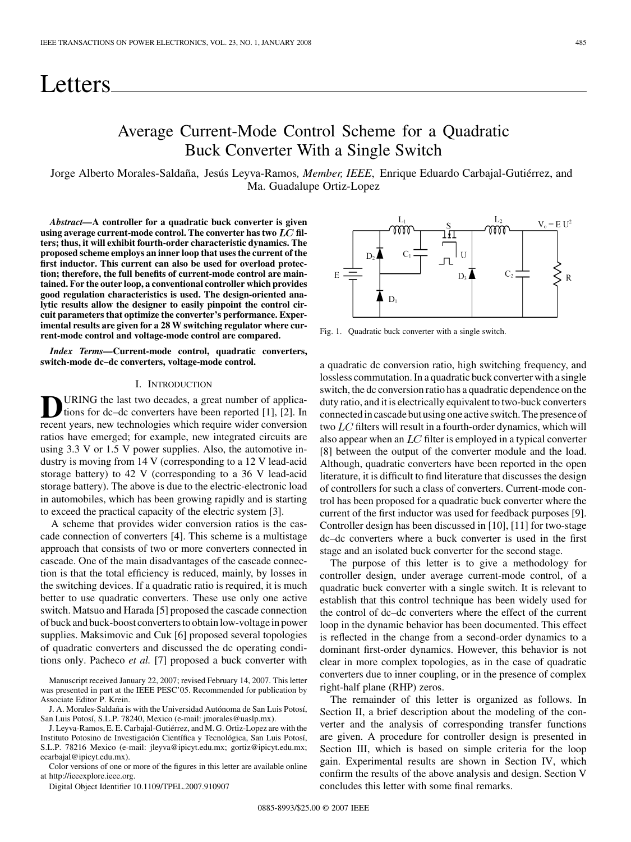# Letters

### Average Current-Mode Control Scheme for a Quadratic Buck Converter With a Single Switch

Jorge Alberto Morales-Saldaña, Jesús Leyva-Ramos*, Member, IEEE*, Enrique Eduardo Carbajal-Gutiérrez, and Ma. Guadalupe Ortiz-Lopez

*Abstract—***A controller for a quadratic buck converter is given** using average current-mode control. The converter has two  $LC$  fil**ters; thus, it will exhibit fourth-order characteristic dynamics. The proposed scheme employs an inner loop that uses the current of the first inductor. This current can also be used for overload protection; therefore, the full benefits of current-mode control are maintained. For the outer loop, a conventional controller which provides good regulation characteristics is used. The design-oriented analytic results allow the designer to easily pinpoint the control circuit parameters that optimize the converter's performance. Experimental results are given for a 28 W switching regulator where current-mode control and voltage-mode control are compared.**

*Index Terms—***Current-mode control, quadratic converters, switch-mode dc–dc converters, voltage-mode control.**

#### I. INTRODUCTION

URING the last two decades, a great number of applications for dc–dc converters have been reported [1], [2]. In recent years, new technologies which require wider conversion ratios have emerged; for example, new integrated circuits are using 3.3 V or 1.5 V power supplies. Also, the automotive industry is moving from 14 V (corresponding to a 12 V lead-acid storage battery) to 42 V (corresponding to a 36 V lead-acid storage battery). The above is due to the electric-electronic load in automobiles, which has been growing rapidly and is starting to exceed the practical capacity of the electric system [3].

A scheme that provides wider conversion ratios is the cascade connection of converters [4]. This scheme is a multistage approach that consists of two or more converters connected in cascade. One of the main disadvantages of the cascade connection is that the total efficiency is reduced, mainly, by losses in the switching devices. If a quadratic ratio is required, it is much better to use quadratic converters. These use only one active switch. Matsuo and Harada [5] proposed the cascade connection of buck and buck-boost converters to obtain low-voltage in power supplies. Maksimovic and Cuk [6] proposed several topologies of quadratic converters and discussed the dc operating conditions only. Pacheco *et al.* [7] proposed a buck converter with

Manuscript received January 22, 2007; revised February 14, 2007. This letter was presented in part at the IEEE PESC'05. Recommended for publication by Associate Editor P. Krein.

J. A. Morales-Saldaña is with the Universidad Autónoma de San Luis Potosí, San Luis Potosí, S.L.P. 78240, Mexico (e-mail: jmorales@uaslp.mx).

J. Leyva-Ramos, E. E. Carbajal-Gutiérrez, and M. G. Ortiz-Lopez are with the Instituto Potosino de Investigación Científica y Tecnológica, San Luis Potosí, S.L.P. 78216 Mexico (e-mail: jleyva@ipicyt.edu.mx; gortiz@ipicyt.edu.mx; ecarbaial@ipicyt.edu.mx).

Color versions of one or more of the figures in this letter are available online at http://ieeexplore.ieee.org.

Digital Object Identifier 10.1109/TPEL.2007.910907

 $D<sub>2</sub>$ 

Fig. 1. Quadratic buck converter with a single switch.

a quadratic dc conversion ratio, high switching frequency, and lossless commutation. In a quadratic buck converter with a single switch, the dc conversion ratio has a quadratic dependence on the duty ratio, and it is electrically equivalent to two-buck converters connected in cascade but using one active switch. The presence of two  $LC$  filters will result in a fourth-order dynamics, which will also appear when an  $LC$  filter is employed in a typical converter [8] between the output of the converter module and the load. Although, quadratic converters have been reported in the open literature, it is difficult to find literature that discusses the design of controllers for such a class of converters. Current-mode control has been proposed for a quadratic buck converter where the current of the first inductor was used for feedback purposes [9]. Controller design has been discussed in [10], [11] for two-stage dc–dc converters where a buck converter is used in the first stage and an isolated buck converter for the second stage.

The purpose of this letter is to give a methodology for controller design, under average current-mode control, of a quadratic buck converter with a single switch. It is relevant to establish that this control technique has been widely used for the control of dc–dc converters where the effect of the current loop in the dynamic behavior has been documented. This effect is reflected in the change from a second-order dynamics to a dominant first-order dynamics. However, this behavior is not clear in more complex topologies, as in the case of quadratic converters due to inner coupling, or in the presence of complex right-half plane (RHP) zeros.

The remainder of this letter is organized as follows. In Section II, a brief description about the modeling of the converter and the analysis of corresponding transfer functions are given. A procedure for controller design is presented in Section III, which is based on simple criteria for the loop gain. Experimental results are shown in Section IV, which confirm the results of the above analysis and design. Section V concludes this letter with some final remarks.

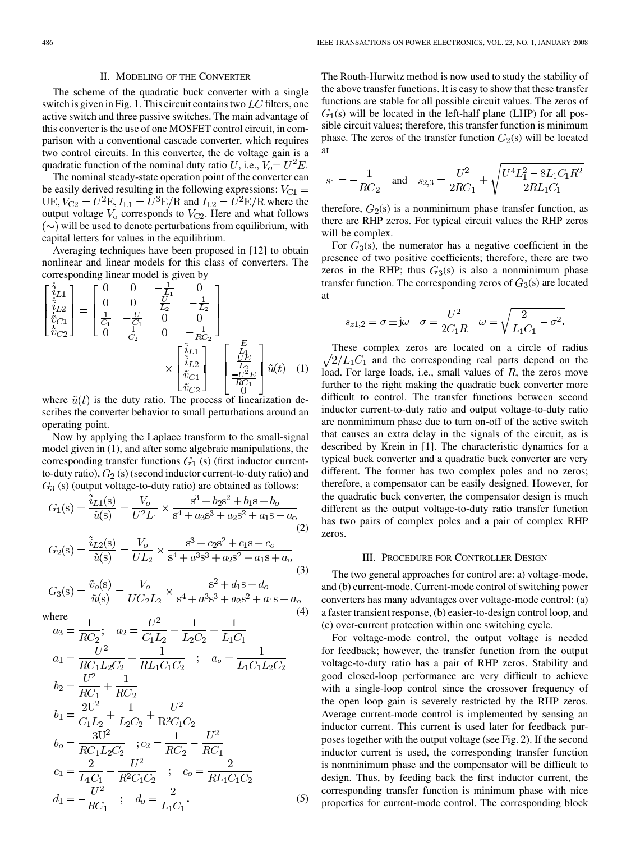#### II. MODELING OF THE CONVERTER

The scheme of the quadratic buck converter with a single switch is given in Fig. 1. This circuit contains two  $LC$  filters, one active switch and three passive switches. The main advantage of this converter is the use of one MOSFET control circuit, in comparison with a conventional cascade converter, which requires two control circuits. In this converter, the dc voltage gain is a quadratic function of the nominal duty ratio U, i.e.,  $V_o = U^2 E$ .

The nominal steady-state operation point of the converter can be easily derived resulting in the following expressions:  $V_{C1} =$  $UE, V_{C2} = U^2E, I_{L1} = U^3E/R$  and  $I_{L2} = U^2E/R$  where the output voltage  $V_0$  corresponds to  $V_{C2}$ . Here and what follows  $(\sim)$  will be used to denote perturbations from equilibrium, with capital letters for values in the equilibrium.

Averaging techniques have been proposed in [12] to obtain nonlinear and linear models for this class of converters. The corresponding linear model is given by

$$
\begin{bmatrix} \dot{\tilde{i}}_{L1} \\ \dot{\tilde{i}}_{L2} \\ \dot{\tilde{i}}_{C1} \\ \dot{\tilde{i}}_{C2} \end{bmatrix} = \begin{bmatrix} 0 & 0 & -\frac{1}{L_1} & 0 \\ 0 & 0 & \frac{U}{L_2} & -\frac{1}{L_2} \\ \frac{1}{C_1} & -\frac{U}{C_1} & 0 & 0 \\ 0 & \frac{1}{C_2} & 0 & -\frac{1}{RC_2} \end{bmatrix}
$$

$$
\times \begin{bmatrix} \dot{\tilde{i}}_{L1} \\ \dot{\tilde{i}}_{L2} \\ \dot{\tilde{i}}_{L2} \\ \dot{\tilde{i}}_{C2} \end{bmatrix} + \begin{bmatrix} \frac{E}{L_1} \\ \frac{UE}{C_1} \\ -\frac{U^2 E}{RC_1} \\ 0 \end{bmatrix} \tilde{u}(t) \quad (1)
$$

where  $\tilde{u}(t)$  is the duty ratio. The process of linearization describes the converter behavior to small perturbations around an operating point.

Now by applying the Laplace transform to the small-signal model given in (1), and after some algebraic manipulations, the corresponding transfer functions  $G_1$  (s) (first inductor currentto-duty ratio),  $G_2$  (s) (second inductor current-to-duty ratio) and  $G_3$  (s) (output voltage-to-duty ratio) are obtained as follows:

$$
G_1(s) = \frac{\tilde{i}_{L1}(s)}{\tilde{u}(s)} = \frac{V_o}{U^2 L_1} \times \frac{s^3 + b_2 s^2 + b_1 s + b_o}{s^4 + a_3 s^3 + a_2 s^2 + a_1 s + a_o}
$$
\n(2)

$$
G_2(s) = \frac{i_{L2}(s)}{\tilde{u}(s)} = \frac{V_o}{UL_2} \times \frac{s^3 + c_2 s^2 + c_1 s + c_o}{s^4 + a^3 s^3 + a_2 s^2 + a_1 s + a_o}
$$
(3)

$$
G_3(s) = \frac{\tilde{v}_o(s)}{\tilde{u}(s)} = \frac{V_o}{UC_2L_2} \times \frac{s^2 + d_1s + d_o}{s^4 + a^3s^3 + a_2s^2 + a_1s + a_o}
$$

where  
\n
$$
a_3 = \frac{1}{RC_2}; \quad a_2 = \frac{U^2}{C_1L_2} + \frac{1}{L_2C_2} + \frac{1}{L_1C_1}
$$
\n
$$
a_1 = \frac{U^2}{RC_1L_2C_2} + \frac{1}{RL_1C_1C_2} \quad ; \quad a_0 = \frac{1}{L_1C_1L_2C_2}
$$
\n
$$
b_2 = \frac{U^2}{RC_1} + \frac{1}{RC_2}
$$
\n
$$
b_1 = \frac{2U^2}{C_1L_2} + \frac{1}{L_2C_2} + \frac{U^2}{R^2C_1C_2}
$$
\n
$$
b_0 = \frac{3U^2}{RC_1L_2C_2} \quad ; \quad c_2 = \frac{1}{RC_2} - \frac{U^2}{RC_1}
$$
\n
$$
c_1 = \frac{2}{L_1C_1} - \frac{U^2}{R^2C_1C_2} \quad ; \quad c_0 = \frac{2}{RL_1C_1C_2}
$$
\n
$$
d_1 = -\frac{U^2}{RC_1} \quad ; \quad d_0 = \frac{2}{L_1C_1}.
$$
\n(5)

The Routh-Hurwitz method is now used to study the stability of the above transfer functions. It is easy to show that these transfer functions are stable for all possible circuit values. The zeros of  $G_1(s)$  will be located in the left-half plane (LHP) for all possible circuit values; therefore, this transfer function is minimum phase. The zeros of the transfer function  $G_2(s)$  will be located at

$$
s_1 = -\frac{1}{RC_2} \quad \text{and} \quad s_{2,3} = \frac{U^2}{2RC_1} \pm \sqrt{\frac{U^4 L_1^2 - 8L_1 C_1 R^2}{2RL_1 C_1}}
$$

therefore,  $G_2(s)$  is a nonminimum phase transfer function, as there are RHP zeros. For typical circuit values the RHP zeros will be complex.

For  $G_3(s)$ , the numerator has a negative coefficient in the presence of two positive coefficients; therefore, there are two zeros in the RHP; thus  $G_3(s)$  is also a nonminimum phase transfer function. The corresponding zeros of  $G_3(s)$  are located at

$$
s_{z1,2}=\sigma\pm\mathrm{j}\omega\quad\sigma=\frac{U^2}{2C_1R}\quad\omega=\sqrt{\frac{2}{L_1C_1}-\sigma^2}.
$$

These complex zeros are located on a circle of radius  $\sqrt{2}/L_1C_1$  and the corresponding real parts depend on the load. For large loads, i.e., small values of  $R$ , the zeros move further to the right making the quadratic buck converter more difficult to control. The transfer functions between second inductor current-to-duty ratio and output voltage-to-duty ratio are nonminimum phase due to turn on-off of the active switch that causes an extra delay in the signals of the circuit, as is described by Krein in [1]. The characteristic dynamics for a typical buck converter and a quadratic buck converter are very different. The former has two complex poles and no zeros; therefore, a compensator can be easily designed. However, for the quadratic buck converter, the compensator design is much different as the output voltage-to-duty ratio transfer function has two pairs of complex poles and a pair of complex RHP zeros.

#### III. PROCEDURE FOR CONTROLLER DESIGN

The two general approaches for control are: a) voltage-mode, and (b) current-mode. Current-mode control of switching power converters has many advantages over voltage-mode control: (a) a faster transient response, (b) easier-to-design control loop, and (c) over-current protection within one switching cycle.

For voltage-mode control, the output voltage is needed for feedback; however, the transfer function from the output voltage-to-duty ratio has a pair of RHP zeros. Stability and good closed-loop performance are very difficult to achieve with a single-loop control since the crossover frequency of the open loop gain is severely restricted by the RHP zeros. Average current-mode control is implemented by sensing an inductor current. This current is used later for feedback purposes together with the output voltage (see Fig. 2). If the second inductor current is used, the corresponding transfer function is nonminimum phase and the compensator will be difficult to design. Thus, by feeding back the first inductor current, the corresponding transfer function is minimum phase with nice properties for current-mode control. The corresponding block